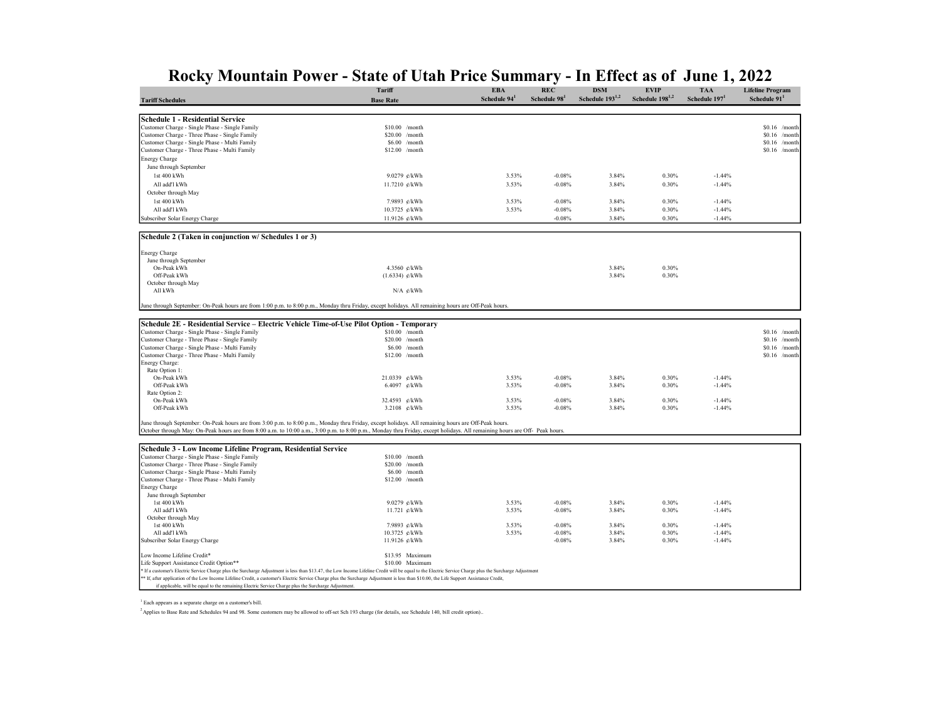|                                                                                                                                                                                                         | <b>Tariff</b>                                                                                                                                                                            | <b>EBA</b>               | <b>REC</b>  | <b>DSM</b>           | <b>EVIP</b>          | <b>TAA</b>      | <b>Lifeline Program</b>            |
|---------------------------------------------------------------------------------------------------------------------------------------------------------------------------------------------------------|------------------------------------------------------------------------------------------------------------------------------------------------------------------------------------------|--------------------------|-------------|----------------------|----------------------|-----------------|------------------------------------|
| <b>Tariff Schedules</b>                                                                                                                                                                                 | <b>Base Rate</b>                                                                                                                                                                         | Schedule 94 <sup>1</sup> | Schedule 98 | Schedule $193^{1,2}$ | Schedule $198^{1,2}$ | Schedule $1971$ | Schedule 91                        |
|                                                                                                                                                                                                         |                                                                                                                                                                                          |                          |             |                      |                      |                 |                                    |
| Schedule 1 - Residential Service                                                                                                                                                                        |                                                                                                                                                                                          |                          |             |                      |                      |                 |                                    |
| Customer Charge - Single Phase - Single Family                                                                                                                                                          | $$10.00$ /month                                                                                                                                                                          |                          |             |                      |                      |                 | $$0.16$ /month                     |
| Customer Charge - Three Phase - Single Family                                                                                                                                                           | \$20.00<br>/month                                                                                                                                                                        |                          |             |                      |                      |                 | $$0.16$ /month                     |
| Customer Charge - Single Phase - Multi Family<br>Customer Charge - Three Phase - Multi Family                                                                                                           | \$6.00<br>/month<br>$$12.00$ /month                                                                                                                                                      |                          |             |                      |                      |                 | \$0.16<br>/month<br>$$0.16$ /month |
|                                                                                                                                                                                                         |                                                                                                                                                                                          |                          |             |                      |                      |                 |                                    |
| <b>Energy Charge</b>                                                                                                                                                                                    |                                                                                                                                                                                          |                          |             |                      |                      |                 |                                    |
| June through September                                                                                                                                                                                  |                                                                                                                                                                                          |                          |             |                      |                      |                 |                                    |
| 1st 400 kWh                                                                                                                                                                                             | 9.0279 ¢/kWh                                                                                                                                                                             | 3.53%                    | $-0.08%$    | 3.84%                | 0.30%                | $-1.44%$        |                                    |
| All add'l kWh                                                                                                                                                                                           | 11.7210 ¢/kWh                                                                                                                                                                            | 3.53%                    | $-0.08%$    | 3.84%                | 0.30%                | $-1.44%$        |                                    |
| October through May                                                                                                                                                                                     |                                                                                                                                                                                          |                          |             |                      |                      |                 |                                    |
| 1st 400 kWh                                                                                                                                                                                             | 7.9893 ¢/kWh                                                                                                                                                                             | 3.53%                    | $-0.08%$    | 3.84%                | 0.30%                | $-1.44%$        |                                    |
| All add'l kWh                                                                                                                                                                                           | 10.3725 ¢/kWh                                                                                                                                                                            | 3.53%                    | $-0.08%$    | 3.84%                | 0.30%                | $-1.44%$        |                                    |
| Subscriber Solar Energy Charge                                                                                                                                                                          | 11.9126 ¢/kWh                                                                                                                                                                            |                          | $-0.08%$    | 3.84%                | 0.30%                | $-1.44%$        |                                    |
| Schedule 2 (Taken in conjunction w/ Schedules 1 or 3)                                                                                                                                                   |                                                                                                                                                                                          |                          |             |                      |                      |                 |                                    |
| <b>Energy Charge</b>                                                                                                                                                                                    |                                                                                                                                                                                          |                          |             |                      |                      |                 |                                    |
| June through September                                                                                                                                                                                  |                                                                                                                                                                                          |                          |             |                      |                      |                 |                                    |
| On-Peak kWh                                                                                                                                                                                             | 4.3560 ¢/kWh                                                                                                                                                                             |                          |             | 3.84%                | 0.30%                |                 |                                    |
| Off-Peak kWh                                                                                                                                                                                            | $(1.6334)$ ¢/kWh                                                                                                                                                                         |                          |             | 3.84%                | 0.30%                |                 |                                    |
| October through May                                                                                                                                                                                     |                                                                                                                                                                                          |                          |             |                      |                      |                 |                                    |
| All kWh                                                                                                                                                                                                 | N/A ¢/kWh                                                                                                                                                                                |                          |             |                      |                      |                 |                                    |
| June through September: On-Peak hours are from 1:00 p.m. to 8:00 p.m., Monday thru Friday, except holidays. All remaining hours are Off-Peak hours                                                      |                                                                                                                                                                                          |                          |             |                      |                      |                 |                                    |
| Schedule 2E - Residential Service – Electric Vehicle Time-of-Use Pilot Option - Temporary                                                                                                               |                                                                                                                                                                                          |                          |             |                      |                      |                 |                                    |
| Customer Charge - Single Phase - Single Family                                                                                                                                                          | $$10.00$ /month                                                                                                                                                                          |                          |             |                      |                      |                 |                                    |
| Customer Charge - Three Phase - Single Family                                                                                                                                                           | $$20.00$ /month                                                                                                                                                                          |                          |             |                      |                      |                 | $$0.16$ /month<br>$$0.16$ /month   |
| Customer Charge - Single Phase - Multi Family                                                                                                                                                           | \$6.00<br>/month                                                                                                                                                                         |                          |             |                      |                      |                 | \$0.16<br>/month                   |
| Customer Charge - Three Phase - Multi Family                                                                                                                                                            | \$12.00 /month                                                                                                                                                                           |                          |             |                      |                      |                 | $$0.16$ /month                     |
| Energy Charge:                                                                                                                                                                                          |                                                                                                                                                                                          |                          |             |                      |                      |                 |                                    |
| Rate Option 1:                                                                                                                                                                                          |                                                                                                                                                                                          |                          |             |                      |                      |                 |                                    |
| On-Peak kWh                                                                                                                                                                                             | 21.0339 ¢/kWh                                                                                                                                                                            | 3.53%                    | $-0.08%$    | 3.84%                | 0.30%                | $-1.44%$        |                                    |
| Off-Peak kWh                                                                                                                                                                                            | 6.4097<br>$\varepsilon$ /kWh                                                                                                                                                             | 3.53%                    | $-0.08%$    | 3.84%                | 0.30%                | $-1.44%$        |                                    |
| Rate Option 2:                                                                                                                                                                                          |                                                                                                                                                                                          |                          |             |                      |                      |                 |                                    |
| On-Peak kWh                                                                                                                                                                                             | 32.4593 ¢/kWh                                                                                                                                                                            | 3.53%                    | $-0.08%$    | 3.84%                | 0.30%                | $-1.44%$        |                                    |
| Off-Peak kWh                                                                                                                                                                                            | 3.2108 ¢/kWh                                                                                                                                                                             | 3.53%                    | $-0.08%$    | 3.84%                | 0.30%                | $-1.44%$        |                                    |
| June through September: On-Peak hours are from 3:00 p.m. to 8:00 p.m., Monday thru Friday, except holidays. All remaining hours are Off-Peak hours.                                                     |                                                                                                                                                                                          |                          |             |                      |                      |                 |                                    |
| October through May: On-Peak hours are from 8:00 a.m. to 10:00 a.m., 3:00 p.m. to 8:00 p.m., Monday thru Friday, except holidays. All remaining hours are Off- Peak hours.                              |                                                                                                                                                                                          |                          |             |                      |                      |                 |                                    |
| Schedule 3 - Low Income Lifeline Program, Residential Service                                                                                                                                           |                                                                                                                                                                                          |                          |             |                      |                      |                 |                                    |
| Customer Charge - Single Phase - Single Family                                                                                                                                                          | $$10.00$ /month                                                                                                                                                                          |                          |             |                      |                      |                 |                                    |
| Customer Charge - Three Phase - Single Family                                                                                                                                                           | $$20.00$ /month                                                                                                                                                                          |                          |             |                      |                      |                 |                                    |
| Customer Charge - Single Phase - Multi Family                                                                                                                                                           | $$6.00$ /month                                                                                                                                                                           |                          |             |                      |                      |                 |                                    |
| Customer Charge - Three Phase - Multi Family                                                                                                                                                            | $$12.00$ /month                                                                                                                                                                          |                          |             |                      |                      |                 |                                    |
| <b>Energy Charge</b>                                                                                                                                                                                    |                                                                                                                                                                                          |                          |             |                      |                      |                 |                                    |
| June through September                                                                                                                                                                                  |                                                                                                                                                                                          |                          |             |                      |                      |                 |                                    |
| 1st 400 kWh                                                                                                                                                                                             | 9.0279 ¢/kWh                                                                                                                                                                             | 3.53%                    | $-0.08%$    | 3.84%                | 0.30%                | $-1.44%$        |                                    |
| All add'l kWh                                                                                                                                                                                           | 11.721 ¢/kWh                                                                                                                                                                             | 3.53%                    | $-0.08%$    | 3.84%                | 0.30%                | $-1.44%$        |                                    |
| October through May                                                                                                                                                                                     |                                                                                                                                                                                          |                          |             |                      |                      |                 |                                    |
| 1st 400 kWh                                                                                                                                                                                             | 7.9893 ¢/kWh                                                                                                                                                                             | 3.53%                    | $-0.08%$    | 3.84%                | 0.30%                | $-1.44%$        |                                    |
| All add'l kWh                                                                                                                                                                                           | 10.3725 ¢/kWh                                                                                                                                                                            | 3.53%                    | $-0.08%$    | 3.84%                | 0.30%                | $-1.44%$        |                                    |
| Subscriber Solar Energy Charge                                                                                                                                                                          | 11.9126 ¢/kWh                                                                                                                                                                            |                          | $-0.08%$    | 3.84%                | 0.30%                | $-1.44%$        |                                    |
| Low Income Lifeline Credit*                                                                                                                                                                             | \$13.95 Maximum                                                                                                                                                                          |                          |             |                      |                      |                 |                                    |
| Life Support Assistance Credit Option**                                                                                                                                                                 | \$10.00 Maximum                                                                                                                                                                          |                          |             |                      |                      |                 |                                    |
| * If a customer's Electric Service Charge plus the Surcharge Adjustment is less than \$13.47, the Low Income Lifeline Credit will be equal to the Electric Service Charge plus the Surcharge Adjustment |                                                                                                                                                                                          |                          |             |                      |                      |                 |                                    |
|                                                                                                                                                                                                         | ** If, after application of the Low Income Lifeline Credit, a customer's Electric Service Charge plus the Surcharge Adjustment is less than \$10.00, the Life Support Assistance Credit, |                          |             |                      |                      |                 |                                    |
| if applicable, will be equal to the remaining Electric Service Charge plus the Surcharge Adjustment.                                                                                                    |                                                                                                                                                                                          |                          |             |                      |                      |                 |                                    |
|                                                                                                                                                                                                         |                                                                                                                                                                                          |                          |             |                      |                      |                 |                                    |

1 Each appears as a separate charge on a customer's bill.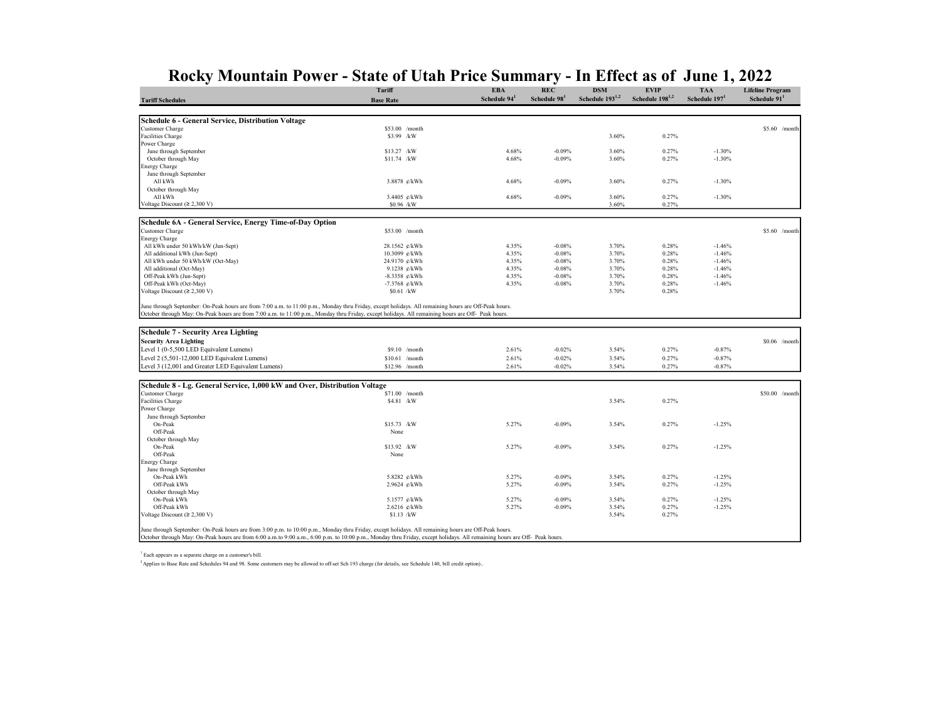|                                                                                                                                                                                                                                                                                                            | Tariff           | <b>EBA</b>               | <b>REC</b>  | <b>DSM</b><br>Schedule 193 <sup>1,2</sup> | <b>EVIP</b><br>Schedule 198 <sup>1,2</sup> | <b>TAA</b>                | <b>Lifeline Program</b> |
|------------------------------------------------------------------------------------------------------------------------------------------------------------------------------------------------------------------------------------------------------------------------------------------------------------|------------------|--------------------------|-------------|-------------------------------------------|--------------------------------------------|---------------------------|-------------------------|
| <b>Tariff Schedules</b>                                                                                                                                                                                                                                                                                    | <b>Base Rate</b> | Schedule 94 <sup>1</sup> | Schedule 98 |                                           |                                            | Schedule 197 <sup>1</sup> | Schedule 91             |
|                                                                                                                                                                                                                                                                                                            |                  |                          |             |                                           |                                            |                           |                         |
| Schedule 6 - General Service, Distribution Voltage                                                                                                                                                                                                                                                         |                  |                          |             |                                           |                                            |                           |                         |
| Customer Charge                                                                                                                                                                                                                                                                                            | \$53.00 /month   |                          |             |                                           |                                            |                           | $$5.60$ /month          |
| Facilities Charge                                                                                                                                                                                                                                                                                          | \$3.99 /kW       |                          |             | 3.60%                                     | 0.27%                                      |                           |                         |
| Power Charge                                                                                                                                                                                                                                                                                               |                  |                          |             |                                           |                                            |                           |                         |
| June through September                                                                                                                                                                                                                                                                                     | \$13.27 /kW      | 4.68%                    | $-0.09%$    | 3.60%                                     | 0.27%                                      | $-1.30%$                  |                         |
| October through May                                                                                                                                                                                                                                                                                        | \$11.74 /kW      | 4.68%                    | $-0.09%$    | 3.60%                                     | 0.27%                                      | $-1.30%$                  |                         |
| Energy Charge                                                                                                                                                                                                                                                                                              |                  |                          |             |                                           |                                            |                           |                         |
| June through September                                                                                                                                                                                                                                                                                     |                  |                          |             |                                           |                                            |                           |                         |
| All kWh                                                                                                                                                                                                                                                                                                    | 3.8878 ¢/kWh     | 4.68%                    | $-0.09%$    | 3.60%                                     | 0.27%                                      | $-1.30%$                  |                         |
| October through May                                                                                                                                                                                                                                                                                        |                  |                          |             |                                           |                                            |                           |                         |
| All kWh                                                                                                                                                                                                                                                                                                    | 3.4405 ¢/kWh     | 4.68%                    | $-0.09%$    | 3.60%                                     | 0.27%                                      | $-1.30%$                  |                         |
| Voltage Discount ( $\geq 2,300$ V)                                                                                                                                                                                                                                                                         | \$0.96 /kW       |                          |             | 3.60%                                     | 0.27%                                      |                           |                         |
|                                                                                                                                                                                                                                                                                                            |                  |                          |             |                                           |                                            |                           |                         |
| Schedule 6A - General Service, Energy Time-of-Day Option                                                                                                                                                                                                                                                   |                  |                          |             |                                           |                                            |                           |                         |
| Customer Charge                                                                                                                                                                                                                                                                                            | \$53.00 /month   |                          |             |                                           |                                            |                           | $$5.60$ /month          |
| <b>Energy Charge</b>                                                                                                                                                                                                                                                                                       |                  |                          |             |                                           |                                            |                           |                         |
| All kWh under 50 kWh/kW (Jun-Sept)                                                                                                                                                                                                                                                                         | 28.1562 ¢/kWh    | 4.35%                    | $-0.08%$    | 3.70%                                     | 0.28%                                      | $-1.46%$                  |                         |
| All additional kWh (Jun-Sept)                                                                                                                                                                                                                                                                              | 10.3099 ¢/kWh    | 4.35%                    | $-0.08%$    | 3.70%                                     | 0.28%                                      | $-1.46%$                  |                         |
| All kWh under 50 kWh/kW (Oct-May)                                                                                                                                                                                                                                                                          | 24.9170 ¢/kWh    | 4.35%                    | $-0.08%$    | 3.70%                                     | 0.28%                                      | $-1.46%$                  |                         |
| All additional (Oct-May)                                                                                                                                                                                                                                                                                   | 9.1238 ¢/kWh     | 4.35%                    | $-0.08%$    | 3.70%                                     | 0.28%                                      | $-1.46%$                  |                         |
| Off-Peak kWh (Jun-Sept)                                                                                                                                                                                                                                                                                    | $-8.3358$ e/kWh  | 4.35%                    | $-0.08%$    | 3.70%                                     | 0.28%                                      | $-1.46%$                  |                         |
| Off-Peak kWh (Oct-May)                                                                                                                                                                                                                                                                                     | $-7.3768$ ¢/kWh  | 4.35%                    | $-0.08%$    | 3.70%                                     | 0.28%                                      | $-1.46%$                  |                         |
| Voltage Discount ( $\geq 2,300$ V)                                                                                                                                                                                                                                                                         | $$0.61$ /kW      |                          |             | 3.70%                                     | 0.28%                                      |                           |                         |
| June through September: On-Peak hours are from 7:00 a.m. to 11:00 p.m., Monday thru Friday, except holidays. All remaining hours are Off-Peak hours.<br>October through May: On-Peak hours are from 7:00 a.m. to 11:00 p.m., Monday thru Friday, except holidays. All remaining hours are Off- Peak hours. |                  |                          |             |                                           |                                            |                           |                         |
| Schedule 7 - Security Area Lighting                                                                                                                                                                                                                                                                        |                  |                          |             |                                           |                                            |                           |                         |
| <b>Security Area Lighting</b>                                                                                                                                                                                                                                                                              |                  |                          |             |                                           |                                            |                           | $$0.06$ /month          |
| Level 1 (0-5,500 LED Equivalent Lumens)                                                                                                                                                                                                                                                                    | $$9.10$ /month   | 2.61%                    | $-0.02%$    | 3.54%                                     | 0.27%                                      | $-0.87%$                  |                         |
|                                                                                                                                                                                                                                                                                                            |                  |                          |             |                                           |                                            |                           |                         |
| Level 2 (5,501-12,000 LED Equivalent Lumens)                                                                                                                                                                                                                                                               | $$10.61$ /month  | 2.61%                    | $-0.02%$    | 3.54%                                     | 0.27%                                      | $-0.87%$                  |                         |
| Level 3 (12,001 and Greater LED Equivalent Lumens)                                                                                                                                                                                                                                                         | \$12.96 /month   | 2.61%                    | $-0.02%$    | 3.54%                                     | 0.27%                                      | $-0.87%$                  |                         |
|                                                                                                                                                                                                                                                                                                            |                  |                          |             |                                           |                                            |                           |                         |
| Schedule 8 - Lg. General Service, 1,000 kW and Over, Distribution Voltage                                                                                                                                                                                                                                  |                  |                          |             |                                           |                                            |                           |                         |
| Customer Charge                                                                                                                                                                                                                                                                                            | \$71.00 /month   |                          |             |                                           |                                            |                           | \$50.00 /month          |
| <b>Facilities Charge</b>                                                                                                                                                                                                                                                                                   | \$4.81 /kW       |                          |             | 3.54%                                     | 0.27%                                      |                           |                         |
| Power Charge                                                                                                                                                                                                                                                                                               |                  |                          |             |                                           |                                            |                           |                         |
| June through September                                                                                                                                                                                                                                                                                     |                  |                          |             |                                           |                                            |                           |                         |
| On-Peak                                                                                                                                                                                                                                                                                                    | \$15.73 /kW      | 5.27%                    | $-0.09%$    | 3.54%                                     | 0.27%                                      | $-1.25%$                  |                         |
| Off-Peak                                                                                                                                                                                                                                                                                                   | None             |                          |             |                                           |                                            |                           |                         |
| October through May                                                                                                                                                                                                                                                                                        |                  |                          |             |                                           |                                            |                           |                         |
| On-Peak                                                                                                                                                                                                                                                                                                    | \$13.92 /kW      | 5.27%                    | $-0.09%$    | 3.54%                                     | 0.27%                                      | $-1.25%$                  |                         |
| Off-Peak                                                                                                                                                                                                                                                                                                   | None             |                          |             |                                           |                                            |                           |                         |
| Energy Charge                                                                                                                                                                                                                                                                                              |                  |                          |             |                                           |                                            |                           |                         |
| June through September                                                                                                                                                                                                                                                                                     |                  |                          |             |                                           |                                            |                           |                         |
| On-Peak kWh                                                                                                                                                                                                                                                                                                | 5.8282 ¢/kWh     | 5.27%                    | $-0.09%$    | 3.54%                                     | 0.27%                                      | $-1.25%$                  |                         |
| Off-Peak kWh                                                                                                                                                                                                                                                                                               | 2.9624 ¢/kWh     | 5.27%                    | $-0.09%$    | 3.54%                                     | 0.27%                                      | $-1.25%$                  |                         |
| October through May                                                                                                                                                                                                                                                                                        |                  |                          |             |                                           |                                            |                           |                         |
| On-Peak kWh                                                                                                                                                                                                                                                                                                | 5.1577 ¢/kWh     | 5.27%                    | $-0.09%$    | 3.54%                                     | 0.27%                                      | $-1.25%$                  |                         |
| Off-Peak kWh                                                                                                                                                                                                                                                                                               | 2.6216 ¢/kWh     | 5.27%                    | $-0.09%$    | 3.54%                                     | 0.27%                                      | $-1.25%$                  |                         |
| Voltage Discount ( $\geq 2,300$ V)                                                                                                                                                                                                                                                                         | $$1.13$ /kW      |                          |             | 3.54%                                     | 0.27%                                      |                           |                         |
|                                                                                                                                                                                                                                                                                                            |                  |                          |             |                                           |                                            |                           |                         |
| June through September: On-Peak hours are from 3:00 p.m. to 10:00 p.m., Monday thru Friday, except holidays. All remaining hours are Off-Peak hours.                                                                                                                                                       |                  |                          |             |                                           |                                            |                           |                         |
| October through May: On-Peak hours are from 6:00 a.m.to 9:00 a.m., 6:00 p.m. to 10:00 p.m., Monday thru Friday, except holidays. All remaining hours are Off- Peak hours.                                                                                                                                  |                  |                          |             |                                           |                                            |                           |                         |

1 Each appears as a separate charge on a customer's bill.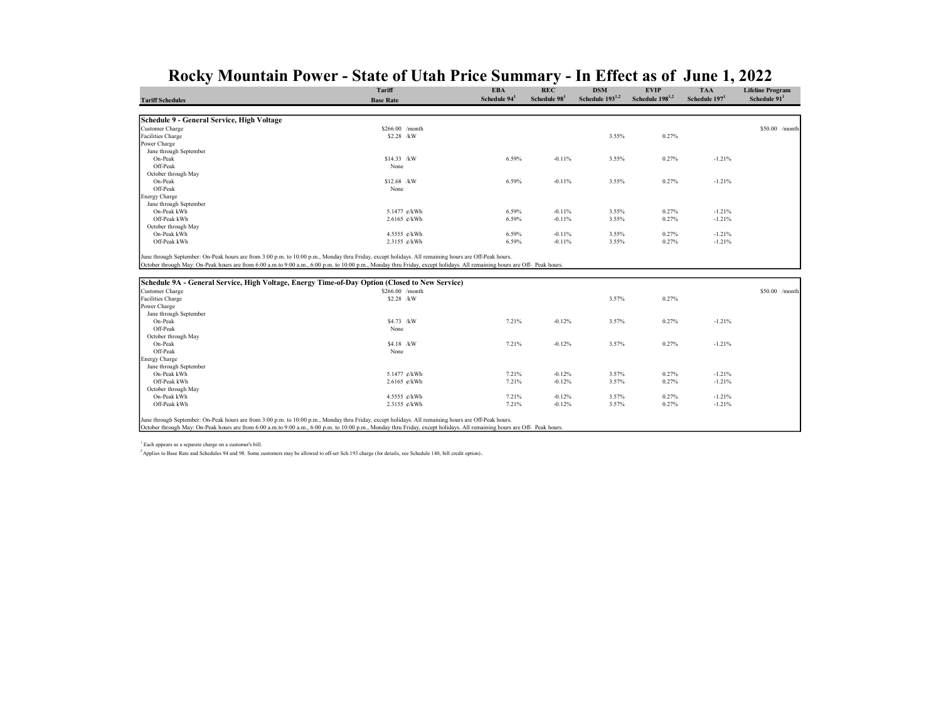|                                                                                                                                                   | Tariff                   | <b>EBA</b>  | <b>REC</b>   | <b>DSM</b>           | <b>EVIP</b>          | <b>TAA</b>                | <b>Lifeline Program</b>  |
|---------------------------------------------------------------------------------------------------------------------------------------------------|--------------------------|-------------|--------------|----------------------|----------------------|---------------------------|--------------------------|
| <b>Tariff Schedules</b>                                                                                                                           | <b>Base Rate</b>         | Schedule 94 | Schedule 98' | Schedule $193^{1,2}$ | Schedule $198^{1,2}$ | Schedule 197 <sup>1</sup> | Schedule 91 <sup>1</sup> |
|                                                                                                                                                   |                          |             |              |                      |                      |                           |                          |
| Schedule 9 - General Service, High Voltage                                                                                                        |                          |             |              |                      |                      |                           |                          |
| <b>Customer Charge</b>                                                                                                                            | \$266.00 /month          |             |              |                      |                      |                           | \$50.00 /month           |
| Facilities Charge                                                                                                                                 | \$2.28 /kW               |             |              | 3.55%                | 0.27%                |                           |                          |
| Power Charge                                                                                                                                      |                          |             |              |                      |                      |                           |                          |
| June through September                                                                                                                            |                          |             |              |                      |                      |                           |                          |
| On-Peak                                                                                                                                           | \$14.33 /kW              | 6.59%       | $-0.11%$     | 3.55%                | 0.27%                | $-1.21%$                  |                          |
| Off-Peak                                                                                                                                          | None                     |             |              |                      |                      |                           |                          |
| October through May                                                                                                                               |                          |             |              |                      |                      |                           |                          |
| On-Peak                                                                                                                                           | \$12.68 /kW              | 6.59%       | $-0.11%$     | 3.55%                | 0.27%                | $-1.21%$                  |                          |
| Off-Peak                                                                                                                                          | None                     |             |              |                      |                      |                           |                          |
| <b>Energy Charge</b>                                                                                                                              |                          |             |              |                      |                      |                           |                          |
| June through September                                                                                                                            |                          |             |              |                      |                      |                           |                          |
| On-Peak kWh                                                                                                                                       | 5.1477 ¢/kWh             | 6.59%       | $-0.11%$     | 3.55%                | 0.27%                | $-1.21%$                  |                          |
| Off-Peak kWh                                                                                                                                      | $2.6165 \, \text{e/kWh}$ | 6.59%       | $-0.11%$     | 3.55%                | 0.27%                | $-1.21%$                  |                          |
| October through May                                                                                                                               |                          |             |              |                      |                      |                           |                          |
| On-Peak kWh                                                                                                                                       | 4.5555 ¢/kWh             | 6.59%       | $-0.11%$     | 3.55%                | 0.27%                | $-1.21%$                  |                          |
| Off-Peak kWh                                                                                                                                      | 2.3155 ¢/kWh             | 6.59%       | $-0.11%$     | 3.55%                | 0.27%                | $-1.21%$                  |                          |
| lune through September: On-Peak hours are from 3:00 n m to 10:00 n m. Monday thru Friday except bolidays. All remaining hours are Off-Peak hours. |                          |             |              |                      |                      |                           |                          |

June through September: On-Peak hours are from 3:00 p.m. to 10:00 p.m., Monday thru Friday, except holidays. All remaining hours are Off-Peak hours.<br>October through May: On-Peak hours are from 6:00 a.m.to 9:00 a.m., 6:00 p

| Schedule 9A - General Service, High Voltage, Energy Time-of-Day Option (Closed to New Service) |                  |       |          |       |       |          |                 |  |  |
|------------------------------------------------------------------------------------------------|------------------|-------|----------|-------|-------|----------|-----------------|--|--|
| Customer Charge                                                                                | $$266.00$ /month |       |          |       |       |          | $$50.00$ /month |  |  |
| Facilities Charge                                                                              | $$2.28$ /kW      |       |          | 3.57% | 0.27% |          |                 |  |  |
| Power Charge                                                                                   |                  |       |          |       |       |          |                 |  |  |
| June through September                                                                         |                  |       |          |       |       |          |                 |  |  |
| On-Peak                                                                                        | \$4.73 /kW       | 7.21% | $-0.12%$ | 3.57% | 0.27% | $-1.21%$ |                 |  |  |
| Off-Peak                                                                                       | None             |       |          |       |       |          |                 |  |  |
| October through May                                                                            |                  |       |          |       |       |          |                 |  |  |
| On-Peak                                                                                        | \$4.18 /kW       | 7.21% | $-0.12%$ | 3.57% | 0.27% | $-1.21%$ |                 |  |  |
| Off-Peak                                                                                       | None             |       |          |       |       |          |                 |  |  |
| <b>Energy Charge</b>                                                                           |                  |       |          |       |       |          |                 |  |  |
| June through September                                                                         |                  |       |          |       |       |          |                 |  |  |
| On-Peak kWh                                                                                    | 5.1477 ¢/kWh     | 7.21% | $-0.12%$ | 3.57% | 0.27% | $-1.21%$ |                 |  |  |
| Off-Peak kWh                                                                                   | 2.6165 ¢/kWh     | 7.21% | $-0.12%$ | 3.57% | 0.27% | $-1.21%$ |                 |  |  |
| October through May                                                                            |                  |       |          |       |       |          |                 |  |  |
| On-Peak kWh                                                                                    | 4.5555 ¢/kWh     | 7.21% | $-0.12%$ | 3.57% | 0.27% | $-1.21%$ |                 |  |  |
| Off-Peak kWh                                                                                   | 2.3155 ¢/kWh     | 7.21% | $-0.12%$ | 3.57% | 0.27% | $-1.21%$ |                 |  |  |
|                                                                                                |                  |       |          |       |       |          |                 |  |  |

June through September: On-Peak hours are from 3:00 p.m. to 10:00 p.m., Monday thru Friday, except holidays. All remaining hours are Off-Peak hours.

October through May: On-Peak hours are from 6:00 a.m.to 9:00 a.m., 6:00 p.m. to 10:00 p.m., Monday thru Friday, except holidays. All remaining hours are Off- Peak hours.

1 Each appears as a separate charge on a customer's bill.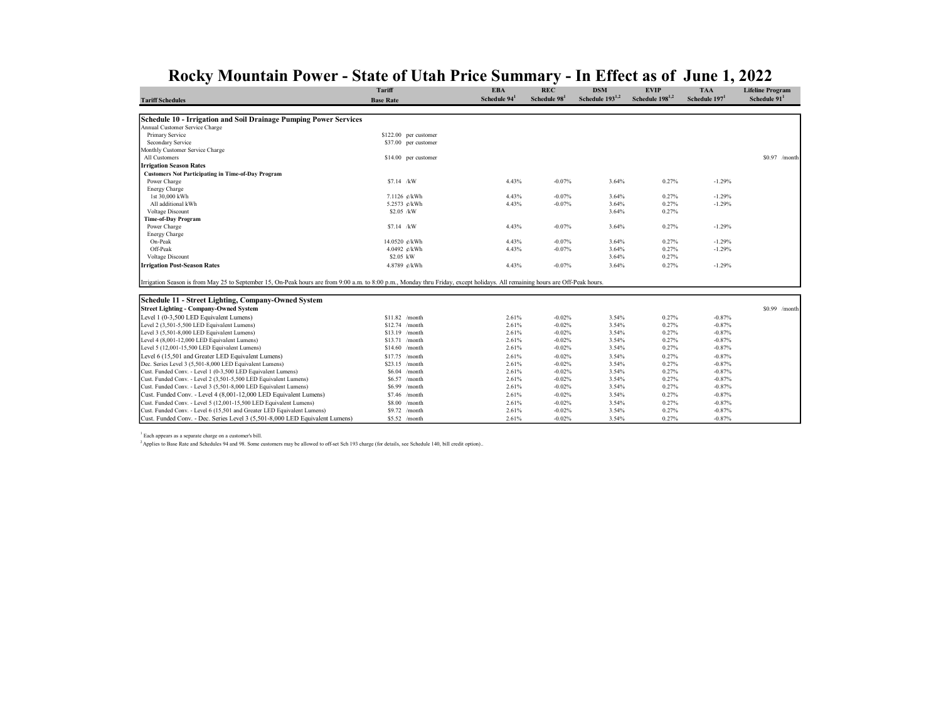| Schedule 193 <sup>1,2</sup><br>Schedule 198 <sup>1,2</sup><br>Schedule 94 <sup>1</sup><br>Schedule 197 <sup>1</sup><br>Schedule 98<br>Schedule 91 <sup>1</sup><br><b>Base Rate</b><br><b>Tariff Schedules</b><br>Schedule 10 - Irrigation and Soil Drainage Pumping Power Services<br>Annual Customer Service Charge<br>Primary Service<br>\$122.00 per customer<br>Secondary Service<br>\$37.00 per customer<br>Monthly Customer Service Charge<br>All Customers<br>$$0.97$ /month<br>\$14.00 per customer<br><b>Irrigation Season Rates</b><br><b>Customers Not Participating in Time-of-Day Program</b><br>\$7.14 /kW<br>4.43%<br>$-0.07%$<br>3.64%<br>0.27%<br>$-1.29%$<br>Power Charge<br><b>Energy Charge</b><br>1st 30,000 kWh<br>$-0.07%$<br>0.27%<br>$-1.29%$<br>7.1126 ¢/kWh<br>4.43%<br>3.64%<br>All additional kWh<br>5.2573 ¢/kWh<br>4.43%<br>3.64%<br>0.27%<br>$-1.29%$<br>$-0.07%$<br>3.64%<br>0.27%<br>Voltage Discount<br>\$2.05 /kW<br><b>Time-of-Day Program</b><br>0.27%<br>$-1.29%$<br>Power Charge<br>$$7.14$ /kW<br>4.43%<br>$-0.07%$<br>3.64%<br><b>Energy Charge</b><br>0.27%<br>On-Peak<br>14.0520 ¢/kWh<br>4.43%<br>$-0.07%$<br>3.64%<br>$-1.29%$<br>Off-Peak<br>4.0492 ¢/kWh<br>4.43%<br>$-0.07%$<br>3.64%<br>0.27%<br>$-1.29%$<br>Voltage Discount<br>\$2.05 kW<br>3.64%<br>0.27%<br><b>Irrigation Post-Season Rates</b><br>3.64%<br>0.27%<br>$-1.29%$<br>4.8789 ¢/kWh<br>4.43%<br>$-0.07%$<br>Irrigation Season is from May 25 to September 15, On-Peak hours are from 9:00 a.m. to 8:00 p.m., Monday thru Friday, except holidays. All remaining hours are Off-Peak hours.<br>Schedule 11 - Street Lighting, Company-Owned System<br><b>Street Lighting - Company-Owned System</b><br>$$0.99$ /month<br>Level 1 (0-3,500 LED Equivalent Lumens)<br>2.61%<br>$-0.02%$<br>3.54%<br>0.27%<br>$-0.87%$<br>$$11.82$ /month<br>Level 2 (3,501-5,500 LED Equivalent Lumens)<br>$-0.02%$<br>3.54%<br>0.27%<br>$-0.87%$<br>$$12.74$ /month<br>2.61%<br>Level 3 (5,501-8,000 LED Equivalent Lumens)<br>3.54%<br>0.27%<br>$$13.19$ /month<br>2.61%<br>$-0.02%$<br>$-0.87%$<br>$-0.02%$<br>3.54%<br>0.27%<br>$-0.87%$<br>Level 4 (8,001-12,000 LED Equivalent Lumens)<br>\$13.71 /month<br>2.61%<br>2.61%<br>$-0.02%$<br>3.54%<br>0.27%<br>$-0.87%$<br>Level 5 (12,001-15,500 LED Equivalent Lumens)<br>$$14.60$ /month<br>Level 6 (15,501 and Greater LED Equivalent Lumens)<br>$-0.02%$<br>3.54%<br>0.27%<br>$-0.87%$<br>$$17.75$ /month<br>2.61%<br>Dec. Series Level 3 (5,501-8,000 LED Equivalent Lumens)<br>$$23.15$ /month<br>$-0.02%$<br>3.54%<br>0.27%<br>$-0.87%$<br>2.61%<br>$-0.02%$<br>3.54%<br>0.27%<br>$-0.87%$<br>Cust. Funded Conv. - Level 1 (0-3,500 LED Equivalent Lumens)<br>2.61%<br>$$6.04$ /month<br>0.27%<br>Cust. Funded Conv. - Level 2 (3,501-5,500 LED Equivalent Lumens)<br>2.61%<br>$-0.02%$<br>3.54%<br>$-0.87%$<br>$$6.57$ /month<br>3.54%<br>0.27%<br>Cust. Funded Conv. - Level 3 (5,501-8,000 LED Equivalent Lumens)<br>2.61%<br>$-0.02%$<br>$-0.87%$<br>\$6.99<br>/month<br>Cust. Funded Conv. - Level 4 (8,001-12,000 LED Equivalent Lumens)<br>$-0.02%$<br>3.54%<br>0.27%<br>$-0.87%$<br>\$7.46 /month<br>2.61%<br>Cust. Funded Conv. - Level 5 (12,001-15,500 LED Equivalent Lumens)<br>$-0.02%$<br>3.54%<br>0.27%<br>$-0.87%$<br>$$8.00$ /month<br>2.61%<br>Cust. Funded Conv. - Level 6 (15,501 and Greater LED Equivalent Lumens)<br>\$9.72 /month<br>2.61%<br>$-0.02%$<br>3.54%<br>0.27%<br>$-0.87%$ | Tariff | <b>EBA</b> | <b>REC</b> | <b>DSM</b> | <b>EVIP</b> | <b>TAA</b> | <b>Lifeline Program</b> |
|---------------------------------------------------------------------------------------------------------------------------------------------------------------------------------------------------------------------------------------------------------------------------------------------------------------------------------------------------------------------------------------------------------------------------------------------------------------------------------------------------------------------------------------------------------------------------------------------------------------------------------------------------------------------------------------------------------------------------------------------------------------------------------------------------------------------------------------------------------------------------------------------------------------------------------------------------------------------------------------------------------------------------------------------------------------------------------------------------------------------------------------------------------------------------------------------------------------------------------------------------------------------------------------------------------------------------------------------------------------------------------------------------------------------------------------------------------------------------------------------------------------------------------------------------------------------------------------------------------------------------------------------------------------------------------------------------------------------------------------------------------------------------------------------------------------------------------------------------------------------------------------------------------------------------------------------------------------------------------------------------------------------------------------------------------------------------------------------------------------------------------------------------------------------------------------------------------------------------------------------------------------------------------------------------------------------------------------------------------------------------------------------------------------------------------------------------------------------------------------------------------------------------------------------------------------------------------------------------------------------------------------------------------------------------------------------------------------------------------------------------------------------------------------------------------------------------------------------------------------------------------------------------------------------------------------------------------------------------------------------------------------------------------------------------------------------------------------------------------------------------------------------------------------------------------------------------------------------------------------------------------------------------------------------------------------------------------------------------------------------------------------------------------------------------------------------------------------------|--------|------------|------------|------------|-------------|------------|-------------------------|
|                                                                                                                                                                                                                                                                                                                                                                                                                                                                                                                                                                                                                                                                                                                                                                                                                                                                                                                                                                                                                                                                                                                                                                                                                                                                                                                                                                                                                                                                                                                                                                                                                                                                                                                                                                                                                                                                                                                                                                                                                                                                                                                                                                                                                                                                                                                                                                                                                                                                                                                                                                                                                                                                                                                                                                                                                                                                                                                                                                                                                                                                                                                                                                                                                                                                                                                                                                                                                                                                     |        |            |            |            |             |            |                         |
|                                                                                                                                                                                                                                                                                                                                                                                                                                                                                                                                                                                                                                                                                                                                                                                                                                                                                                                                                                                                                                                                                                                                                                                                                                                                                                                                                                                                                                                                                                                                                                                                                                                                                                                                                                                                                                                                                                                                                                                                                                                                                                                                                                                                                                                                                                                                                                                                                                                                                                                                                                                                                                                                                                                                                                                                                                                                                                                                                                                                                                                                                                                                                                                                                                                                                                                                                                                                                                                                     |        |            |            |            |             |            |                         |
|                                                                                                                                                                                                                                                                                                                                                                                                                                                                                                                                                                                                                                                                                                                                                                                                                                                                                                                                                                                                                                                                                                                                                                                                                                                                                                                                                                                                                                                                                                                                                                                                                                                                                                                                                                                                                                                                                                                                                                                                                                                                                                                                                                                                                                                                                                                                                                                                                                                                                                                                                                                                                                                                                                                                                                                                                                                                                                                                                                                                                                                                                                                                                                                                                                                                                                                                                                                                                                                                     |        |            |            |            |             |            |                         |
|                                                                                                                                                                                                                                                                                                                                                                                                                                                                                                                                                                                                                                                                                                                                                                                                                                                                                                                                                                                                                                                                                                                                                                                                                                                                                                                                                                                                                                                                                                                                                                                                                                                                                                                                                                                                                                                                                                                                                                                                                                                                                                                                                                                                                                                                                                                                                                                                                                                                                                                                                                                                                                                                                                                                                                                                                                                                                                                                                                                                                                                                                                                                                                                                                                                                                                                                                                                                                                                                     |        |            |            |            |             |            |                         |
|                                                                                                                                                                                                                                                                                                                                                                                                                                                                                                                                                                                                                                                                                                                                                                                                                                                                                                                                                                                                                                                                                                                                                                                                                                                                                                                                                                                                                                                                                                                                                                                                                                                                                                                                                                                                                                                                                                                                                                                                                                                                                                                                                                                                                                                                                                                                                                                                                                                                                                                                                                                                                                                                                                                                                                                                                                                                                                                                                                                                                                                                                                                                                                                                                                                                                                                                                                                                                                                                     |        |            |            |            |             |            |                         |
|                                                                                                                                                                                                                                                                                                                                                                                                                                                                                                                                                                                                                                                                                                                                                                                                                                                                                                                                                                                                                                                                                                                                                                                                                                                                                                                                                                                                                                                                                                                                                                                                                                                                                                                                                                                                                                                                                                                                                                                                                                                                                                                                                                                                                                                                                                                                                                                                                                                                                                                                                                                                                                                                                                                                                                                                                                                                                                                                                                                                                                                                                                                                                                                                                                                                                                                                                                                                                                                                     |        |            |            |            |             |            |                         |
|                                                                                                                                                                                                                                                                                                                                                                                                                                                                                                                                                                                                                                                                                                                                                                                                                                                                                                                                                                                                                                                                                                                                                                                                                                                                                                                                                                                                                                                                                                                                                                                                                                                                                                                                                                                                                                                                                                                                                                                                                                                                                                                                                                                                                                                                                                                                                                                                                                                                                                                                                                                                                                                                                                                                                                                                                                                                                                                                                                                                                                                                                                                                                                                                                                                                                                                                                                                                                                                                     |        |            |            |            |             |            |                         |
|                                                                                                                                                                                                                                                                                                                                                                                                                                                                                                                                                                                                                                                                                                                                                                                                                                                                                                                                                                                                                                                                                                                                                                                                                                                                                                                                                                                                                                                                                                                                                                                                                                                                                                                                                                                                                                                                                                                                                                                                                                                                                                                                                                                                                                                                                                                                                                                                                                                                                                                                                                                                                                                                                                                                                                                                                                                                                                                                                                                                                                                                                                                                                                                                                                                                                                                                                                                                                                                                     |        |            |            |            |             |            |                         |
|                                                                                                                                                                                                                                                                                                                                                                                                                                                                                                                                                                                                                                                                                                                                                                                                                                                                                                                                                                                                                                                                                                                                                                                                                                                                                                                                                                                                                                                                                                                                                                                                                                                                                                                                                                                                                                                                                                                                                                                                                                                                                                                                                                                                                                                                                                                                                                                                                                                                                                                                                                                                                                                                                                                                                                                                                                                                                                                                                                                                                                                                                                                                                                                                                                                                                                                                                                                                                                                                     |        |            |            |            |             |            |                         |
|                                                                                                                                                                                                                                                                                                                                                                                                                                                                                                                                                                                                                                                                                                                                                                                                                                                                                                                                                                                                                                                                                                                                                                                                                                                                                                                                                                                                                                                                                                                                                                                                                                                                                                                                                                                                                                                                                                                                                                                                                                                                                                                                                                                                                                                                                                                                                                                                                                                                                                                                                                                                                                                                                                                                                                                                                                                                                                                                                                                                                                                                                                                                                                                                                                                                                                                                                                                                                                                                     |        |            |            |            |             |            |                         |
|                                                                                                                                                                                                                                                                                                                                                                                                                                                                                                                                                                                                                                                                                                                                                                                                                                                                                                                                                                                                                                                                                                                                                                                                                                                                                                                                                                                                                                                                                                                                                                                                                                                                                                                                                                                                                                                                                                                                                                                                                                                                                                                                                                                                                                                                                                                                                                                                                                                                                                                                                                                                                                                                                                                                                                                                                                                                                                                                                                                                                                                                                                                                                                                                                                                                                                                                                                                                                                                                     |        |            |            |            |             |            |                         |
|                                                                                                                                                                                                                                                                                                                                                                                                                                                                                                                                                                                                                                                                                                                                                                                                                                                                                                                                                                                                                                                                                                                                                                                                                                                                                                                                                                                                                                                                                                                                                                                                                                                                                                                                                                                                                                                                                                                                                                                                                                                                                                                                                                                                                                                                                                                                                                                                                                                                                                                                                                                                                                                                                                                                                                                                                                                                                                                                                                                                                                                                                                                                                                                                                                                                                                                                                                                                                                                                     |        |            |            |            |             |            |                         |
|                                                                                                                                                                                                                                                                                                                                                                                                                                                                                                                                                                                                                                                                                                                                                                                                                                                                                                                                                                                                                                                                                                                                                                                                                                                                                                                                                                                                                                                                                                                                                                                                                                                                                                                                                                                                                                                                                                                                                                                                                                                                                                                                                                                                                                                                                                                                                                                                                                                                                                                                                                                                                                                                                                                                                                                                                                                                                                                                                                                                                                                                                                                                                                                                                                                                                                                                                                                                                                                                     |        |            |            |            |             |            |                         |
|                                                                                                                                                                                                                                                                                                                                                                                                                                                                                                                                                                                                                                                                                                                                                                                                                                                                                                                                                                                                                                                                                                                                                                                                                                                                                                                                                                                                                                                                                                                                                                                                                                                                                                                                                                                                                                                                                                                                                                                                                                                                                                                                                                                                                                                                                                                                                                                                                                                                                                                                                                                                                                                                                                                                                                                                                                                                                                                                                                                                                                                                                                                                                                                                                                                                                                                                                                                                                                                                     |        |            |            |            |             |            |                         |
|                                                                                                                                                                                                                                                                                                                                                                                                                                                                                                                                                                                                                                                                                                                                                                                                                                                                                                                                                                                                                                                                                                                                                                                                                                                                                                                                                                                                                                                                                                                                                                                                                                                                                                                                                                                                                                                                                                                                                                                                                                                                                                                                                                                                                                                                                                                                                                                                                                                                                                                                                                                                                                                                                                                                                                                                                                                                                                                                                                                                                                                                                                                                                                                                                                                                                                                                                                                                                                                                     |        |            |            |            |             |            |                         |
|                                                                                                                                                                                                                                                                                                                                                                                                                                                                                                                                                                                                                                                                                                                                                                                                                                                                                                                                                                                                                                                                                                                                                                                                                                                                                                                                                                                                                                                                                                                                                                                                                                                                                                                                                                                                                                                                                                                                                                                                                                                                                                                                                                                                                                                                                                                                                                                                                                                                                                                                                                                                                                                                                                                                                                                                                                                                                                                                                                                                                                                                                                                                                                                                                                                                                                                                                                                                                                                                     |        |            |            |            |             |            |                         |
|                                                                                                                                                                                                                                                                                                                                                                                                                                                                                                                                                                                                                                                                                                                                                                                                                                                                                                                                                                                                                                                                                                                                                                                                                                                                                                                                                                                                                                                                                                                                                                                                                                                                                                                                                                                                                                                                                                                                                                                                                                                                                                                                                                                                                                                                                                                                                                                                                                                                                                                                                                                                                                                                                                                                                                                                                                                                                                                                                                                                                                                                                                                                                                                                                                                                                                                                                                                                                                                                     |        |            |            |            |             |            |                         |
|                                                                                                                                                                                                                                                                                                                                                                                                                                                                                                                                                                                                                                                                                                                                                                                                                                                                                                                                                                                                                                                                                                                                                                                                                                                                                                                                                                                                                                                                                                                                                                                                                                                                                                                                                                                                                                                                                                                                                                                                                                                                                                                                                                                                                                                                                                                                                                                                                                                                                                                                                                                                                                                                                                                                                                                                                                                                                                                                                                                                                                                                                                                                                                                                                                                                                                                                                                                                                                                                     |        |            |            |            |             |            |                         |
|                                                                                                                                                                                                                                                                                                                                                                                                                                                                                                                                                                                                                                                                                                                                                                                                                                                                                                                                                                                                                                                                                                                                                                                                                                                                                                                                                                                                                                                                                                                                                                                                                                                                                                                                                                                                                                                                                                                                                                                                                                                                                                                                                                                                                                                                                                                                                                                                                                                                                                                                                                                                                                                                                                                                                                                                                                                                                                                                                                                                                                                                                                                                                                                                                                                                                                                                                                                                                                                                     |        |            |            |            |             |            |                         |
|                                                                                                                                                                                                                                                                                                                                                                                                                                                                                                                                                                                                                                                                                                                                                                                                                                                                                                                                                                                                                                                                                                                                                                                                                                                                                                                                                                                                                                                                                                                                                                                                                                                                                                                                                                                                                                                                                                                                                                                                                                                                                                                                                                                                                                                                                                                                                                                                                                                                                                                                                                                                                                                                                                                                                                                                                                                                                                                                                                                                                                                                                                                                                                                                                                                                                                                                                                                                                                                                     |        |            |            |            |             |            |                         |
|                                                                                                                                                                                                                                                                                                                                                                                                                                                                                                                                                                                                                                                                                                                                                                                                                                                                                                                                                                                                                                                                                                                                                                                                                                                                                                                                                                                                                                                                                                                                                                                                                                                                                                                                                                                                                                                                                                                                                                                                                                                                                                                                                                                                                                                                                                                                                                                                                                                                                                                                                                                                                                                                                                                                                                                                                                                                                                                                                                                                                                                                                                                                                                                                                                                                                                                                                                                                                                                                     |        |            |            |            |             |            |                         |
|                                                                                                                                                                                                                                                                                                                                                                                                                                                                                                                                                                                                                                                                                                                                                                                                                                                                                                                                                                                                                                                                                                                                                                                                                                                                                                                                                                                                                                                                                                                                                                                                                                                                                                                                                                                                                                                                                                                                                                                                                                                                                                                                                                                                                                                                                                                                                                                                                                                                                                                                                                                                                                                                                                                                                                                                                                                                                                                                                                                                                                                                                                                                                                                                                                                                                                                                                                                                                                                                     |        |            |            |            |             |            |                         |
|                                                                                                                                                                                                                                                                                                                                                                                                                                                                                                                                                                                                                                                                                                                                                                                                                                                                                                                                                                                                                                                                                                                                                                                                                                                                                                                                                                                                                                                                                                                                                                                                                                                                                                                                                                                                                                                                                                                                                                                                                                                                                                                                                                                                                                                                                                                                                                                                                                                                                                                                                                                                                                                                                                                                                                                                                                                                                                                                                                                                                                                                                                                                                                                                                                                                                                                                                                                                                                                                     |        |            |            |            |             |            |                         |
|                                                                                                                                                                                                                                                                                                                                                                                                                                                                                                                                                                                                                                                                                                                                                                                                                                                                                                                                                                                                                                                                                                                                                                                                                                                                                                                                                                                                                                                                                                                                                                                                                                                                                                                                                                                                                                                                                                                                                                                                                                                                                                                                                                                                                                                                                                                                                                                                                                                                                                                                                                                                                                                                                                                                                                                                                                                                                                                                                                                                                                                                                                                                                                                                                                                                                                                                                                                                                                                                     |        |            |            |            |             |            |                         |
|                                                                                                                                                                                                                                                                                                                                                                                                                                                                                                                                                                                                                                                                                                                                                                                                                                                                                                                                                                                                                                                                                                                                                                                                                                                                                                                                                                                                                                                                                                                                                                                                                                                                                                                                                                                                                                                                                                                                                                                                                                                                                                                                                                                                                                                                                                                                                                                                                                                                                                                                                                                                                                                                                                                                                                                                                                                                                                                                                                                                                                                                                                                                                                                                                                                                                                                                                                                                                                                                     |        |            |            |            |             |            |                         |
|                                                                                                                                                                                                                                                                                                                                                                                                                                                                                                                                                                                                                                                                                                                                                                                                                                                                                                                                                                                                                                                                                                                                                                                                                                                                                                                                                                                                                                                                                                                                                                                                                                                                                                                                                                                                                                                                                                                                                                                                                                                                                                                                                                                                                                                                                                                                                                                                                                                                                                                                                                                                                                                                                                                                                                                                                                                                                                                                                                                                                                                                                                                                                                                                                                                                                                                                                                                                                                                                     |        |            |            |            |             |            |                         |
|                                                                                                                                                                                                                                                                                                                                                                                                                                                                                                                                                                                                                                                                                                                                                                                                                                                                                                                                                                                                                                                                                                                                                                                                                                                                                                                                                                                                                                                                                                                                                                                                                                                                                                                                                                                                                                                                                                                                                                                                                                                                                                                                                                                                                                                                                                                                                                                                                                                                                                                                                                                                                                                                                                                                                                                                                                                                                                                                                                                                                                                                                                                                                                                                                                                                                                                                                                                                                                                                     |        |            |            |            |             |            |                         |
|                                                                                                                                                                                                                                                                                                                                                                                                                                                                                                                                                                                                                                                                                                                                                                                                                                                                                                                                                                                                                                                                                                                                                                                                                                                                                                                                                                                                                                                                                                                                                                                                                                                                                                                                                                                                                                                                                                                                                                                                                                                                                                                                                                                                                                                                                                                                                                                                                                                                                                                                                                                                                                                                                                                                                                                                                                                                                                                                                                                                                                                                                                                                                                                                                                                                                                                                                                                                                                                                     |        |            |            |            |             |            |                         |
|                                                                                                                                                                                                                                                                                                                                                                                                                                                                                                                                                                                                                                                                                                                                                                                                                                                                                                                                                                                                                                                                                                                                                                                                                                                                                                                                                                                                                                                                                                                                                                                                                                                                                                                                                                                                                                                                                                                                                                                                                                                                                                                                                                                                                                                                                                                                                                                                                                                                                                                                                                                                                                                                                                                                                                                                                                                                                                                                                                                                                                                                                                                                                                                                                                                                                                                                                                                                                                                                     |        |            |            |            |             |            |                         |
|                                                                                                                                                                                                                                                                                                                                                                                                                                                                                                                                                                                                                                                                                                                                                                                                                                                                                                                                                                                                                                                                                                                                                                                                                                                                                                                                                                                                                                                                                                                                                                                                                                                                                                                                                                                                                                                                                                                                                                                                                                                                                                                                                                                                                                                                                                                                                                                                                                                                                                                                                                                                                                                                                                                                                                                                                                                                                                                                                                                                                                                                                                                                                                                                                                                                                                                                                                                                                                                                     |        |            |            |            |             |            |                         |
|                                                                                                                                                                                                                                                                                                                                                                                                                                                                                                                                                                                                                                                                                                                                                                                                                                                                                                                                                                                                                                                                                                                                                                                                                                                                                                                                                                                                                                                                                                                                                                                                                                                                                                                                                                                                                                                                                                                                                                                                                                                                                                                                                                                                                                                                                                                                                                                                                                                                                                                                                                                                                                                                                                                                                                                                                                                                                                                                                                                                                                                                                                                                                                                                                                                                                                                                                                                                                                                                     |        |            |            |            |             |            |                         |
|                                                                                                                                                                                                                                                                                                                                                                                                                                                                                                                                                                                                                                                                                                                                                                                                                                                                                                                                                                                                                                                                                                                                                                                                                                                                                                                                                                                                                                                                                                                                                                                                                                                                                                                                                                                                                                                                                                                                                                                                                                                                                                                                                                                                                                                                                                                                                                                                                                                                                                                                                                                                                                                                                                                                                                                                                                                                                                                                                                                                                                                                                                                                                                                                                                                                                                                                                                                                                                                                     |        |            |            |            |             |            |                         |
|                                                                                                                                                                                                                                                                                                                                                                                                                                                                                                                                                                                                                                                                                                                                                                                                                                                                                                                                                                                                                                                                                                                                                                                                                                                                                                                                                                                                                                                                                                                                                                                                                                                                                                                                                                                                                                                                                                                                                                                                                                                                                                                                                                                                                                                                                                                                                                                                                                                                                                                                                                                                                                                                                                                                                                                                                                                                                                                                                                                                                                                                                                                                                                                                                                                                                                                                                                                                                                                                     |        |            |            |            |             |            |                         |
|                                                                                                                                                                                                                                                                                                                                                                                                                                                                                                                                                                                                                                                                                                                                                                                                                                                                                                                                                                                                                                                                                                                                                                                                                                                                                                                                                                                                                                                                                                                                                                                                                                                                                                                                                                                                                                                                                                                                                                                                                                                                                                                                                                                                                                                                                                                                                                                                                                                                                                                                                                                                                                                                                                                                                                                                                                                                                                                                                                                                                                                                                                                                                                                                                                                                                                                                                                                                                                                                     |        |            |            |            |             |            |                         |
|                                                                                                                                                                                                                                                                                                                                                                                                                                                                                                                                                                                                                                                                                                                                                                                                                                                                                                                                                                                                                                                                                                                                                                                                                                                                                                                                                                                                                                                                                                                                                                                                                                                                                                                                                                                                                                                                                                                                                                                                                                                                                                                                                                                                                                                                                                                                                                                                                                                                                                                                                                                                                                                                                                                                                                                                                                                                                                                                                                                                                                                                                                                                                                                                                                                                                                                                                                                                                                                                     |        |            |            |            |             |            |                         |
|                                                                                                                                                                                                                                                                                                                                                                                                                                                                                                                                                                                                                                                                                                                                                                                                                                                                                                                                                                                                                                                                                                                                                                                                                                                                                                                                                                                                                                                                                                                                                                                                                                                                                                                                                                                                                                                                                                                                                                                                                                                                                                                                                                                                                                                                                                                                                                                                                                                                                                                                                                                                                                                                                                                                                                                                                                                                                                                                                                                                                                                                                                                                                                                                                                                                                                                                                                                                                                                                     |        |            |            |            |             |            |                         |
|                                                                                                                                                                                                                                                                                                                                                                                                                                                                                                                                                                                                                                                                                                                                                                                                                                                                                                                                                                                                                                                                                                                                                                                                                                                                                                                                                                                                                                                                                                                                                                                                                                                                                                                                                                                                                                                                                                                                                                                                                                                                                                                                                                                                                                                                                                                                                                                                                                                                                                                                                                                                                                                                                                                                                                                                                                                                                                                                                                                                                                                                                                                                                                                                                                                                                                                                                                                                                                                                     |        |            |            |            |             |            |                         |
|                                                                                                                                                                                                                                                                                                                                                                                                                                                                                                                                                                                                                                                                                                                                                                                                                                                                                                                                                                                                                                                                                                                                                                                                                                                                                                                                                                                                                                                                                                                                                                                                                                                                                                                                                                                                                                                                                                                                                                                                                                                                                                                                                                                                                                                                                                                                                                                                                                                                                                                                                                                                                                                                                                                                                                                                                                                                                                                                                                                                                                                                                                                                                                                                                                                                                                                                                                                                                                                                     |        |            |            |            |             |            |                         |
|                                                                                                                                                                                                                                                                                                                                                                                                                                                                                                                                                                                                                                                                                                                                                                                                                                                                                                                                                                                                                                                                                                                                                                                                                                                                                                                                                                                                                                                                                                                                                                                                                                                                                                                                                                                                                                                                                                                                                                                                                                                                                                                                                                                                                                                                                                                                                                                                                                                                                                                                                                                                                                                                                                                                                                                                                                                                                                                                                                                                                                                                                                                                                                                                                                                                                                                                                                                                                                                                     |        |            |            |            |             |            |                         |
|                                                                                                                                                                                                                                                                                                                                                                                                                                                                                                                                                                                                                                                                                                                                                                                                                                                                                                                                                                                                                                                                                                                                                                                                                                                                                                                                                                                                                                                                                                                                                                                                                                                                                                                                                                                                                                                                                                                                                                                                                                                                                                                                                                                                                                                                                                                                                                                                                                                                                                                                                                                                                                                                                                                                                                                                                                                                                                                                                                                                                                                                                                                                                                                                                                                                                                                                                                                                                                                                     |        |            |            |            |             |            |                         |
|                                                                                                                                                                                                                                                                                                                                                                                                                                                                                                                                                                                                                                                                                                                                                                                                                                                                                                                                                                                                                                                                                                                                                                                                                                                                                                                                                                                                                                                                                                                                                                                                                                                                                                                                                                                                                                                                                                                                                                                                                                                                                                                                                                                                                                                                                                                                                                                                                                                                                                                                                                                                                                                                                                                                                                                                                                                                                                                                                                                                                                                                                                                                                                                                                                                                                                                                                                                                                                                                     |        |            |            |            |             |            |                         |
| Cust. Funded Conv. - Dec. Series Level 3 (5,501-8,000 LED Equivalent Lumens)<br>$-0.02%$<br>3.54%<br>0.27%<br>$-0.87%$<br>$$5.52$ /month<br>2.61%                                                                                                                                                                                                                                                                                                                                                                                                                                                                                                                                                                                                                                                                                                                                                                                                                                                                                                                                                                                                                                                                                                                                                                                                                                                                                                                                                                                                                                                                                                                                                                                                                                                                                                                                                                                                                                                                                                                                                                                                                                                                                                                                                                                                                                                                                                                                                                                                                                                                                                                                                                                                                                                                                                                                                                                                                                                                                                                                                                                                                                                                                                                                                                                                                                                                                                                   |        |            |            |            |             |            |                         |

1 Each appears as a separate charge on a customer's bill.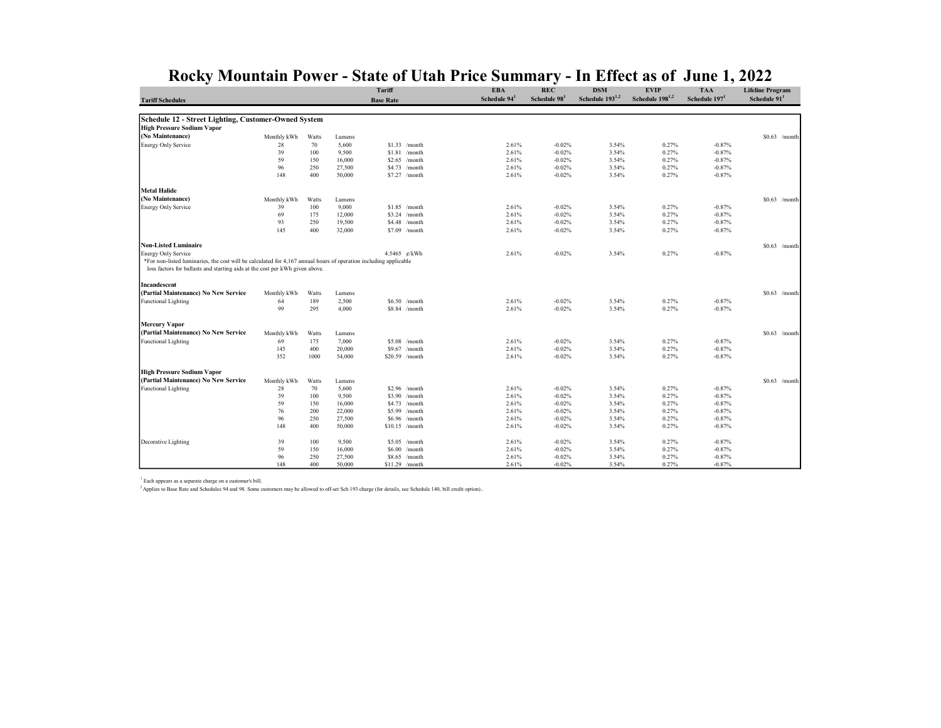|  | Rocky Mountain Power - State of Utah Price Summary - In Effect as of June 1, 2022 |  |  |
|--|-----------------------------------------------------------------------------------|--|--|
|--|-----------------------------------------------------------------------------------|--|--|

| <b>Tariff Schedules</b>                                                                                                                                                                                                        |             |            |                 | Tariff<br><b>Base Rate</b> |                                 | <b>EBA</b><br>Schedule 94 <sup>1</sup> | <b>REC</b><br>Schedule 98 <sup>1</sup> | <b>DSM</b><br>Schedule 193 <sup>1,2</sup> | <b>EVIP</b><br>Schedule 198 <sup>1,2</sup> | <b>TAA</b><br>Schedule $1971$ | <b>Lifeline Program</b><br>Schedule 91 <sup>1</sup> |
|--------------------------------------------------------------------------------------------------------------------------------------------------------------------------------------------------------------------------------|-------------|------------|-----------------|----------------------------|---------------------------------|----------------------------------------|----------------------------------------|-------------------------------------------|--------------------------------------------|-------------------------------|-----------------------------------------------------|
|                                                                                                                                                                                                                                |             |            |                 |                            |                                 |                                        |                                        |                                           |                                            |                               |                                                     |
| Schedule 12 - Street Lighting, Customer-Owned System                                                                                                                                                                           |             |            |                 |                            |                                 |                                        |                                        |                                           |                                            |                               |                                                     |
| <b>High Pressure Sodium Vapor</b>                                                                                                                                                                                              |             |            |                 |                            |                                 |                                        |                                        |                                           |                                            |                               |                                                     |
| (No Maintenance)                                                                                                                                                                                                               | Monthly kWh | Watts      | Lumens          |                            |                                 |                                        |                                        |                                           |                                            |                               | $$0.63$ /month                                      |
| <b>Energy Only Service</b>                                                                                                                                                                                                     | 28          | 70         | 5,600           |                            | $$1.33$ /month                  | 2.61%                                  | $-0.02%$                               | 3.54%                                     | 0.27%                                      | $-0.87%$                      |                                                     |
|                                                                                                                                                                                                                                | 39          | 100        | 9,500           |                            | $$1.81$ /month                  | 2.61%                                  | $-0.02%$                               | 3.54%                                     | 0.27%                                      | $-0.87%$                      |                                                     |
|                                                                                                                                                                                                                                | 59          | 150        | 16,000          | \$2.65                     | /month                          | 2.61%                                  | $-0.02%$                               | 3.54%                                     | 0.27%                                      | $-0.87%$                      |                                                     |
|                                                                                                                                                                                                                                | 96          | 250        | 27,500          | \$4.73                     | /month                          | 2.61%                                  | $-0.02%$                               | 3.54%                                     | 0.27%                                      | $-0.87%$                      |                                                     |
|                                                                                                                                                                                                                                | 148         | 400        | 50,000          |                            | $$7.27$ /month                  | 2.61%                                  | $-0.02%$                               | 3.54%                                     | 0.27%                                      | $-0.87%$                      |                                                     |
| <b>Metal Halide</b>                                                                                                                                                                                                            |             |            |                 |                            |                                 |                                        |                                        |                                           |                                            |                               |                                                     |
| (No Maintenance)                                                                                                                                                                                                               | Monthly kWh | Watts      | Lumens          |                            |                                 |                                        |                                        |                                           |                                            |                               | $$0.63$ /month                                      |
| <b>Energy Only Service</b>                                                                                                                                                                                                     | 39          | 100        | 9,000           |                            | $$1.85$ /month                  | 2.61%                                  | $-0.02%$                               | 3.54%                                     | 0.27%                                      | $-0.87%$                      |                                                     |
|                                                                                                                                                                                                                                | 69          | 175        | 12,000          |                            | \$3.24 /month                   | 2.61%                                  | $-0.02%$                               | 3.54%                                     | 0.27%                                      | $-0.87%$                      |                                                     |
|                                                                                                                                                                                                                                | 93          | 250        | 19,500          | \$4.48                     | /month                          | 2.61%                                  | $-0.02%$                               | 3.54%                                     | 0.27%                                      | $-0.87%$                      |                                                     |
|                                                                                                                                                                                                                                | 145         | 400        | 32,000          |                            | \$7.09 /month                   | 2.61%                                  | $-0.02%$                               | 3.54%                                     | 0.27%                                      | $-0.87%$                      |                                                     |
| <b>Non-Listed Luminaire</b>                                                                                                                                                                                                    |             |            |                 |                            |                                 |                                        |                                        |                                           |                                            |                               | $$0.63$ /month                                      |
| <b>Energy Only Service</b><br>*For non-listed luminaries, the cost will be calculated for 4,167 annual hours of operation including applicable<br>loss factors for ballasts and starting aids at the cost per kWh given above. |             |            |                 |                            | 4.5465 ¢/kWh                    | 2.61%                                  | $-0.02%$                               | 3.54%                                     | 0.27%                                      | $-0.87%$                      |                                                     |
| Incandescent                                                                                                                                                                                                                   |             |            |                 |                            |                                 |                                        |                                        |                                           |                                            |                               |                                                     |
| (Partial Maintenance) No New Service                                                                                                                                                                                           | Monthly kWh | Watts      | Lumens          |                            |                                 |                                        |                                        |                                           |                                            |                               | $$0.63$ /month                                      |
| <b>Functional Lighting</b>                                                                                                                                                                                                     | 64          | 189        | 2,500           |                            | $$6.50$ /month                  | 2.61%                                  | $-0.02%$                               | 3.54%                                     | 0.27%                                      | $-0.87%$                      |                                                     |
|                                                                                                                                                                                                                                | 99          | 295        | 4,000           |                            | \$8.84 /month                   | 2.61%                                  | $-0.02%$                               | 3.54%                                     | 0.27%                                      | $-0.87%$                      |                                                     |
| <b>Mercury Vapor</b>                                                                                                                                                                                                           |             |            |                 |                            |                                 |                                        |                                        |                                           |                                            |                               |                                                     |
| (Partial Maintenance) No New Service                                                                                                                                                                                           |             |            |                 |                            |                                 |                                        |                                        |                                           |                                            |                               |                                                     |
|                                                                                                                                                                                                                                | Monthly kWh | Watts      | Lumens          |                            |                                 |                                        |                                        |                                           |                                            |                               | $$0.63$ /month                                      |
| <b>Functional Lighting</b>                                                                                                                                                                                                     | 69<br>145   | 175<br>400 | 7,000<br>20,000 |                            | \$5.08 /month<br>$$9.67$ /month | 2.61%<br>2.61%                         | $-0.02%$<br>$-0.02%$                   | 3.54%<br>3.54%                            | 0.27%<br>0.27%                             | $-0.87%$<br>$-0.87%$          |                                                     |
|                                                                                                                                                                                                                                | 352         | 1000       | 54,000          |                            | \$20.59 /month                  | 2.61%                                  | $-0.02%$                               | 3.54%                                     | 0.27%                                      | $-0.87%$                      |                                                     |
| <b>High Pressure Sodium Vapor</b>                                                                                                                                                                                              |             |            |                 |                            |                                 |                                        |                                        |                                           |                                            |                               |                                                     |
| (Partial Maintenance) No New Service                                                                                                                                                                                           | Monthly kWh | Watts      | Lumens          |                            |                                 |                                        |                                        |                                           |                                            |                               | $$0.63$ /month                                      |
| <b>Functional Lighting</b>                                                                                                                                                                                                     | 28          | 70         | 5,600           |                            | $$2.96$ /month                  | 2.61%                                  | $-0.02%$                               | 3.54%                                     | 0.27%                                      | $-0.87%$                      |                                                     |
|                                                                                                                                                                                                                                | 39          | 100        | 9,500           |                            | \$3.90 /month                   | 2.61%                                  | $-0.02%$                               | 3.54%                                     | 0.27%                                      | $-0.87%$                      |                                                     |
|                                                                                                                                                                                                                                | 59          | 150        | 16,000          |                            | \$4.73 /month                   | 2.61%                                  | $-0.02%$                               | 3.54%                                     | 0.27%                                      | $-0.87%$                      |                                                     |
|                                                                                                                                                                                                                                | 76          | 200        | 22,000          | \$5.99                     | /month                          | 2.61%                                  | $-0.02%$                               | 3.54%                                     | 0.27%                                      | $-0.87%$                      |                                                     |
|                                                                                                                                                                                                                                | 96          | 250        | 27,500          | \$6.96                     | /month                          | 2.61%                                  | $-0.02%$                               | 3.54%                                     | 0.27%                                      | $-0.87%$                      |                                                     |
|                                                                                                                                                                                                                                | 148         | 400        | 50,000          |                            | $$10.15$ /month                 | 2.61%                                  | $-0.02%$                               | 3.54%                                     | 0.27%                                      | $-0.87%$                      |                                                     |
| Decorative Lighting                                                                                                                                                                                                            | 39          | 100        | 9,500           |                            | $$5.05$ /month                  | 2.61%                                  | $-0.02%$                               | 3.54%                                     | 0.27%                                      | $-0.87%$                      |                                                     |
|                                                                                                                                                                                                                                | 59          | 150        | 16,000          | \$6.00                     | /month                          | 2.61%                                  | $-0.02%$                               | 3.54%                                     | 0.27%                                      | $-0.87%$                      |                                                     |
|                                                                                                                                                                                                                                | 96          | 250        | 27,500          | \$8.65                     | /month                          | 2.61%                                  | $-0.02%$                               | 3.54%                                     | 0.27%                                      | $-0.87%$                      |                                                     |
|                                                                                                                                                                                                                                | 148         | 400        | 50,000          |                            | $$11.29$ /month                 | 2.61%                                  | $-0.02%$                               | 3.54%                                     | 0.27%                                      | $-0.87%$                      |                                                     |

1 Each appears as a separate charge on a customer's bill.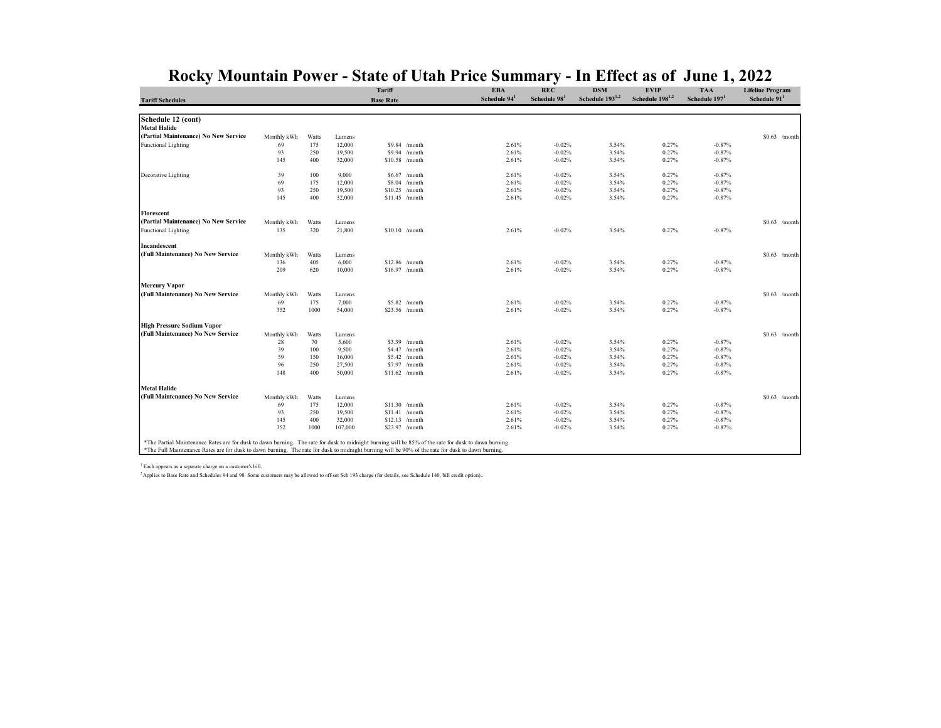|                                                                                                                                                      |             |       |         | <b>Tariff</b>    |                 | <b>EBA</b>     | <b>REC</b>               | <b>DSM</b>                  | <b>EVIP</b>                 | <b>TAA</b>                | <b>Lifeline Program</b> |
|------------------------------------------------------------------------------------------------------------------------------------------------------|-------------|-------|---------|------------------|-----------------|----------------|--------------------------|-----------------------------|-----------------------------|---------------------------|-------------------------|
| <b>Tariff Schedules</b>                                                                                                                              |             |       |         | <b>Base Rate</b> |                 | Schedule $941$ | Schedule 98 <sup>1</sup> | Schedule 193 <sup>1,2</sup> | Schedule 198 <sup>1,2</sup> | Schedule 197 <sup>1</sup> | Schedule $911$          |
| Schedule 12 (cont)                                                                                                                                   |             |       |         |                  |                 |                |                          |                             |                             |                           |                         |
| <b>Metal Halide</b>                                                                                                                                  |             |       |         |                  |                 |                |                          |                             |                             |                           |                         |
| (Partial Maintenance) No New Service                                                                                                                 | Monthly kWh | Watts | Lumens  |                  |                 |                |                          |                             |                             |                           | $$0.63$ /month          |
| Functional Lighting                                                                                                                                  | 69          | 175   | 12,000  |                  | \$9.84 /month   | 2.61%          | $-0.02%$                 | 3.54%                       | 0.27%                       | $-0.87%$                  |                         |
|                                                                                                                                                      | 93          | 250   | 19,500  |                  | \$9.94 /month   | 2.61%          | $-0.02%$                 | 3.54%                       | 0.27%                       | $-0.87%$                  |                         |
|                                                                                                                                                      | 145         | 400   | 32,000  |                  | \$10.58 /month  | 2.61%          | $-0.02%$                 | 3.54%                       | 0.27%                       | $-0.87%$                  |                         |
|                                                                                                                                                      |             |       |         |                  |                 |                |                          |                             |                             |                           |                         |
| Decorative Lighting                                                                                                                                  | 39          | 100   | 9,000   |                  | \$6.67 /month   | 2.61%          | $-0.02%$                 | 3.54%                       | 0.27%                       | $-0.87%$                  |                         |
|                                                                                                                                                      | 69          | 175   | 12,000  | \$8.04           | /month          | 2.61%          | $-0.02%$                 | 3.54%                       | 0.27%                       | $-0.87%$                  |                         |
|                                                                                                                                                      | 93          | 250   | 19,500  |                  | $$10.25$ /month | 2.61%          | $-0.02%$                 | 3.54%                       | 0.27%                       | $-0.87%$                  |                         |
|                                                                                                                                                      | 145         | 400   | 32,000  |                  | $$11.45$ /month | 2.61%          | $-0.02%$                 | 3.54%                       | 0.27%                       | $-0.87%$                  |                         |
| Florescent                                                                                                                                           |             |       |         |                  |                 |                |                          |                             |                             |                           |                         |
| (Partial Maintenance) No New Service                                                                                                                 | Monthly kWh | Watts | Lumens  |                  |                 |                |                          |                             |                             |                           | $$0.63$ /month          |
| <b>Functional Lighting</b>                                                                                                                           | 135         | 320   | 21,800  |                  | $$10.10$ /month | 2.61%          | $-0.02%$                 | 3.54%                       | 0.27%                       | $-0.87%$                  |                         |
| Incandescent                                                                                                                                         |             |       |         |                  |                 |                |                          |                             |                             |                           |                         |
| (Full Maintenance) No New Service                                                                                                                    | Monthly kWh | Watts | Lumens  |                  |                 |                |                          |                             |                             |                           | $$0.63$ /month          |
|                                                                                                                                                      | 136         | 405   | 6,000   |                  | $$12.86$ /month | 2.61%          | $-0.02%$                 | 3.54%                       | 0.27%                       | $-0.87%$                  |                         |
|                                                                                                                                                      | 209         | 620   | 10,000  |                  | $$16.97$ /month | 2.61%          | $-0.02%$                 | 3.54%                       | 0.27%                       | $-0.87%$                  |                         |
|                                                                                                                                                      |             |       |         |                  |                 |                |                          |                             |                             |                           |                         |
| <b>Mercury Vapor</b>                                                                                                                                 |             |       |         |                  |                 |                |                          |                             |                             |                           |                         |
| (Full Maintenance) No New Service                                                                                                                    | Monthly kWh | Watts | Lumens  |                  |                 |                |                          |                             |                             |                           | $$0.63$ /month          |
|                                                                                                                                                      | 69          | 175   | 7,000   |                  | \$5.82 /month   | 2.61%          | $-0.02%$                 | 3.54%                       | 0.27%                       | $-0.87%$                  |                         |
|                                                                                                                                                      | 352         | 1000  | 54,000  |                  | \$23.56 /month  | 2.61%          | $-0.02%$                 | 3.54%                       | 0.27%                       | $-0.87%$                  |                         |
| <b>High Pressure Sodium Vapor</b>                                                                                                                    |             |       |         |                  |                 |                |                          |                             |                             |                           |                         |
| (Full Maintenance) No New Service                                                                                                                    | Monthly kWh | Watts | Lumens  |                  |                 |                |                          |                             |                             |                           | $$0.63$ /month          |
|                                                                                                                                                      | 28          | 70    | 5,600   |                  | \$3.39 /month   | 2.61%          | $-0.02%$                 | 3.54%                       | 0.27%                       | $-0.87%$                  |                         |
|                                                                                                                                                      | 39          | 100   | 9,500   |                  | \$4.47 /month   | 2.61%          | $-0.02%$                 | 3.54%                       | 0.27%                       | $-0.87%$                  |                         |
|                                                                                                                                                      | 59          | 150   | 16,000  |                  | \$5.42 /month   | 2.61%          | $-0.02%$                 | 3.54%                       | 0.27%                       | $-0.87%$                  |                         |
|                                                                                                                                                      | 96          | 250   | 27,500  | \$7.97           | /month          | 2.61%          | $-0.02%$                 | 3.54%                       | 0.27%                       | $-0.87%$                  |                         |
|                                                                                                                                                      | 148         | 400   | 50,000  |                  | $$11.62$ /month | 2.61%          | $-0.02%$                 | 3.54%                       | 0.27%                       | $-0.87%$                  |                         |
| <b>Metal Halide</b>                                                                                                                                  |             |       |         |                  |                 |                |                          |                             |                             |                           |                         |
| (Full Maintenance) No New Service                                                                                                                    | Monthly kWh | Watts | Lumens  |                  |                 |                |                          |                             |                             |                           | $$0.63$ /month          |
|                                                                                                                                                      | 69          | 175   | 12,000  |                  | $$11.30$ /month | 2.61%          | $-0.02%$                 | 3.54%                       | 0.27%                       | $-0.87%$                  |                         |
|                                                                                                                                                      | 93          | 250   | 19,500  |                  | $$11.41$ /month | 2.61%          | $-0.02%$                 | 3.54%                       | 0.27%                       | $-0.87%$                  |                         |
|                                                                                                                                                      | 145         | 400   | 32,000  |                  | $$12.13$ /month | 2.61%          | $-0.02%$                 | 3.54%                       | 0.27%                       | $-0.87%$                  |                         |
|                                                                                                                                                      | 352         | 1000  | 107,000 |                  | \$23.97 /month  | 2.61%          | $-0.02%$                 | 3.54%                       | 0.27%                       | $-0.87%$                  |                         |
|                                                                                                                                                      |             |       |         |                  |                 |                |                          |                             |                             |                           |                         |
| *The Partial Maintenance Rates are for dusk to dawn burning. The rate for dusk to midnight burning will be 85% of the rate for dusk to dawn burning. |             |       |         |                  |                 |                |                          |                             |                             |                           |                         |
| *The Full Maintenance Rates are for dusk to dawn burning. The rate for dusk to midnight burning will be 90% of the rate for dusk to dawn burning.    |             |       |         |                  |                 |                |                          |                             |                             |                           |                         |

1 Each appears as a separate charge on a customer's bill. <sup>2</sup>Applies to Base Rate and Schedules 94 and 98. Some customers may be allowed to off-set Sch 193 charge (for details, see Schedule 140, bill credit option)..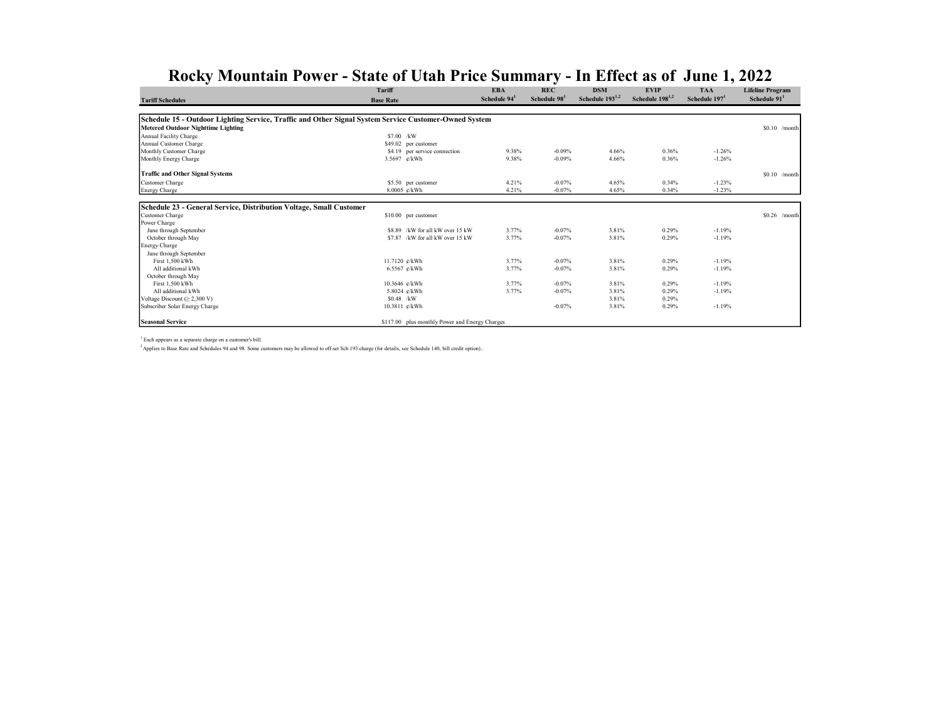|                                                                                                       | <b>Tariff</b>                                  | <b>EBA</b>  | <b>REC</b>  | <b>DSM</b>                  | <b>EVIP</b>          | <b>TAA</b>   | <b>Lifeline Program</b>  |
|-------------------------------------------------------------------------------------------------------|------------------------------------------------|-------------|-------------|-----------------------------|----------------------|--------------|--------------------------|
| <b>Tariff Schedules</b>                                                                               | <b>Base Rate</b>                               | Schedule 94 | Schedule 98 | Schedule 193 <sup>1,2</sup> | Schedule $198^{1,2}$ | Schedule 197 | Schedule 91 <sup>1</sup> |
|                                                                                                       |                                                |             |             |                             |                      |              |                          |
| Schedule 15 - Outdoor Lighting Service, Traffic and Other Signal System Service Customer-Owned System |                                                |             |             |                             |                      |              |                          |
| <b>Metered Outdoor Nighttime Lighting</b>                                                             |                                                |             |             |                             |                      |              | $$0.10$ /month           |
| Annual Facility Charge                                                                                | $$7.00$ /kW                                    |             |             |                             |                      |              |                          |
| Annual Customer Charge                                                                                | \$49.02 per customer                           |             |             |                             |                      |              |                          |
| Monthly Customer Charge                                                                               | \$4.19 per service connection                  | 9.38%       | $-0.09%$    | 4.66%                       | 0.36%                | $-1.26%$     |                          |
| Monthly Energy Charge                                                                                 | 3.5697 ¢/kWh                                   | 9.38%       | $-0.09%$    | 4.66%                       | 0.36%                | $-1.26%$     |                          |
| <b>Traffic and Other Signal Systems</b>                                                               |                                                |             |             |                             |                      |              | $$0.10$ /month           |
| Customer Charge                                                                                       | \$5.50 per customer                            | 4.21%       | $-0.07%$    | 4.65%                       | 0.34%                | $-1.23%$     |                          |
| <b>Energy Charge</b>                                                                                  | 8.0005 ¢/kWh                                   | 4.21%       | $-0.07%$    | 4.65%                       | 0.34%                | $-1.23%$     |                          |
|                                                                                                       |                                                |             |             |                             |                      |              |                          |
| Schedule 23 - General Service, Distribution Voltage, Small Customer                                   |                                                |             |             |                             |                      |              |                          |
| Customer Charge                                                                                       | \$10.00 per customer                           |             |             |                             |                      |              | $$0.26$ /month           |
| Power Charge                                                                                          |                                                |             |             |                             |                      |              |                          |
| June through September                                                                                | \$8.89 /kW for all kW over 15 kW               | 3.77%       | $-0.07%$    | 3.81%                       | 0.29%                | $-1.19%$     |                          |
| October through May                                                                                   | \$7.87 /kW for all kW over 15 kW               | 3.77%       | $-0.07%$    | 3.81%                       | 0.29%                | $-1.19%$     |                          |
| <b>Energy Charge</b>                                                                                  |                                                |             |             |                             |                      |              |                          |
| June through September                                                                                |                                                |             |             |                             |                      |              |                          |
| First 1.500 kWh                                                                                       | 11.7120 e/kWh                                  | 3.77%       | $-0.07%$    | 3.81%                       | 0.29%                | $-1.19%$     |                          |
| All additional kWh                                                                                    | 6.5567 $e$ /kWh                                | 3.77%       | $-0.07%$    | 3.81%                       | 0.29%                | $-1.19%$     |                          |
| October through May                                                                                   |                                                |             |             |                             |                      |              |                          |
| First 1,500 kWh                                                                                       | 10.3646 ¢/kWh                                  | 3.77%       | $-0.07%$    | 3.81%                       | 0.29%                | $-1.19%$     |                          |
| All additional kWh                                                                                    | 5.8024 ¢/kWh                                   | 3.77%       | $-0.07%$    | 3.81%                       | 0.29%                | $-1.19%$     |                          |
| Voltage Discount $(\geq 2,300 \text{ V})$                                                             | $$0.48$ /kW                                    |             |             | 3.81%                       | 0.29%                |              |                          |
| Subscriber Solar Energy Charge                                                                        | 10.3811 ¢/kWh                                  |             | $-0.07%$    | 3.81%                       | 0.29%                | $-1.19%$     |                          |
| <b>Seasonal Service</b>                                                                               | \$117.00 plus monthly Power and Energy Charges |             |             |                             |                      |              |                          |

1 Each appears as a separate charge on a customer's bill.